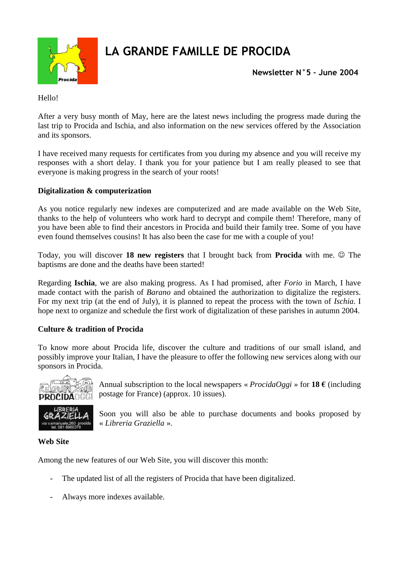

# **LA GRANDE FAMILLE DE PROCIDA**

**Newsletter N°5 – June 2004**

Hello!

After a very busy month of May, here are the latest news including the progress made during the last trip to Procida and Ischia, and also information on the new services offered by the Association and its sponsors.

I have received many requests for certificates from you during my absence and you will receive my responses with a short delay. I thank you for your patience but I am really pleased to see that everyone is making progress in the search of your roots!

### **Digitalization & computerization**

As you notice regularly new indexes are computerized and are made available on the Web Site, thanks to the help of volunteers who work hard to decrypt and compile them! Therefore, many of you have been able to find their ancestors in Procida and build their family tree. Some of you have even found themselves cousins! It has also been the case for me with a couple of you!

Today, you will discover 18 new registers that I brought back from **Procida** with me.  $\circledcirc$  The baptisms are done and the deaths have been started!

Regarding **Ischia**, we are also making progress. As I had promised, after *Forio* in March, I have made contact with the parish of *Barano* and obtained the authorization to digitalize the registers. For my next trip (at the end of July), it is planned to repeat the process with the town of *Ischia*. I hope next to organize and schedule the first work of digitalization of these parishes in autumn 2004.

#### **Culture & tradition of Procida**

To know more about Procida life, discover the culture and traditions of our small island, and possibly improve your Italian, I have the pleasure to offer the following new services along with our sponsors in Procida.



Annual subscription to the local newspapers «  $ProofaOggi \rightarrow$  for **18**  $\epsilon$  (including postage for France) (approx. 10 issues).



Soon you will also be able to purchase documents and books proposed by « *Libreria Graziella* ».

#### **Web Site**

Among the new features of our Web Site, you will discover this month:

- The updated list of all the registers of Procida that have been digitalized.
- Always more indexes available.